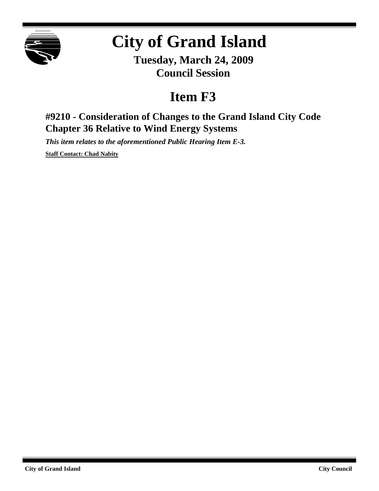

# **City of Grand Island**

**Tuesday, March 24, 2009 Council Session**

## **Item F3**

### **#9210 - Consideration of Changes to the Grand Island City Code Chapter 36 Relative to Wind Energy Systems**

*This item relates to the aforementioned Public Hearing Item E-3.*

**Staff Contact: Chad Nabity**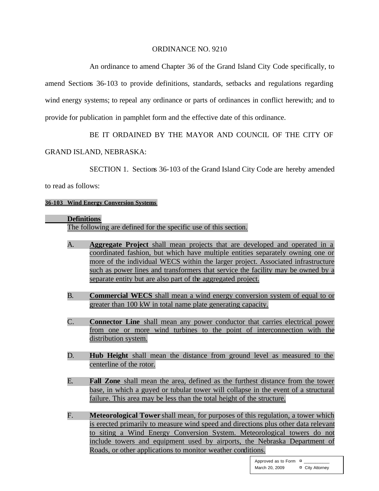#### ORDINANCE NO. 9210

An ordinance to amend Chapter 36 of the Grand Island City Code specifically, to amend Sections 36-103 to provide definitions, standards, setbacks and regulations regarding wind energy systems; to repeal any ordinance or parts of ordinances in conflict herewith; and to provide for publication in pamphlet form and the effective date of this ordinance.

BE IT ORDAINED BY THE MAYOR AND COUNCIL OF THE CITY OF

#### GRAND ISLAND, NEBRASKA:

SECTION 1. Sections 36-103 of the Grand Island City Code are hereby amended

to read as follows:

#### **36-103 Wind Energy Conversion Systems**

#### **Definitions**

The following are defined for the specific use of this section.

- A. **Aggregate Project** shall mean projects that are developed and operated in a coordinated fashion, but which have multiple entities separately owning one or more of the individual WECS within the larger project. Associated infrastructure such as power lines and transformers that service the facility may be owned by a separate entity but are also part of the aggregated project.
- B. **Commercial WECS** shall mean a wind energy conversion system of equal to or greater than 100 kW in total name plate generating capacity.
- C. **Connector Line** shall mean any power conductor that carries electrical power from one or more wind turbines to the point of interconnection with the distribution system.
- D. **Hub Height** shall mean the distance from ground level as measured to the centerline of the rotor.
- E. **Fall Zone** shall mean the area, defined as the furthest distance from the tower base, in which a guyed or tubular tower will collapse in the event of a structural failure. This area may be less than the total height of the structure.
- F. **Meteorological Tower** shall mean, for purposes of this regulation, a tower which is erected primarily to measure wind speed and directions plus other data relevant to siting a Wind Energy Conversion System. Meteorological towers do not include towers and equipment used by airports, the Nebraska Department of Roads, or other applications to monitor weather conditions.

Approved as to Form  $\overline{a}$ March 20, 2009 **¤** City Attorney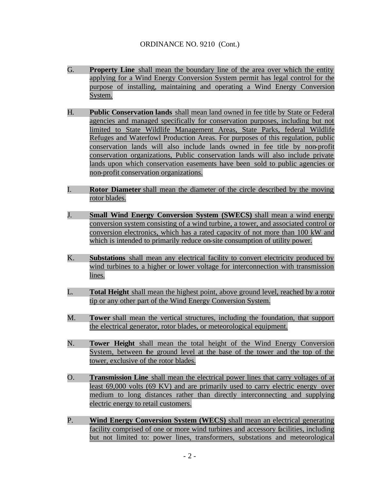- G. **Property Line** shall mean the boundary line of the area over which the entity applying for a Wind Energy Conversion System permit has legal control for the purpose of installing, maintaining and operating a Wind Energy Conversion System.
- H. **Public Conservation lands** shall mean land owned in fee title by State or Federal agencies and managed specifically for conservation purposes, including but not limited to State Wildlife Management Areas, State Parks, federal Wildlife Refuges and Waterfowl Production Areas. For purposes of this regulation, public conservation lands will also include lands owned in fee title by non-profit conservation organizations, Public conservation lands will also include private lands upon which conservation easements have been sold to public agencies or non-profit conservation organizations.
- I. **Rotor Diameter** shall mean the diameter of the circle described by the moving rotor blades.
- J. **Small Wind Energy Conversion System (SWECS)** shall mean a wind energy conversion system consisting of a wind turbine, a tower, and associated control or conversion electronics, which has a rated capacity of not more than 100 kW and which is intended to primarily reduce on-site consumption of utility power.
- K. **Substations** shall mean any electrical facility to convert electricity produced by wind turbines to a higher or lower voltage for interconnection with transmission lines.
- L. **Total Height** shall mean the highest point, above ground level, reached by a rotor tip or any other part of the Wind Energy Conversion System.
- M. **Tower** shall mean the vertical structures, including the foundation, that support the electrical generator, rotor blades, or meteorological equipment.
- N. **Tower Height** shall mean the total height of the Wind Energy Conversion System, between the ground level at the base of the tower and the top of the tower, exclusive of the rotor blades.
- O. **Transmission Line** shall mean the electrical power lines that carry voltages of at least 69,000 volts (69 KV) and are primarily used to carry electric energy over medium to long distances rather than directly interconnecting and supplying electric energy to retail customers.
- P. **Wind Energy Conversion System (WECS)** shall mean an electrical generating facility comprised of one or more wind turbines and accessory facilities, including but not limited to: power lines, transformers, substations and meteorological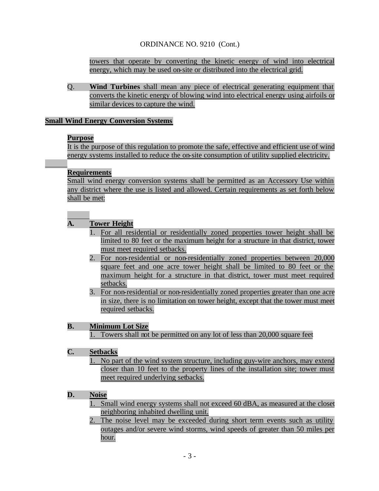towers that operate by converting the kinetic energy of wind into electrical energy, which may be used on-site or distributed into the electrical grid.

Q. **Wind Turbines** shall mean any piece of electrical generating equipment that converts the kinetic energy of blowing wind into electrical energy using airfoils or similar devices to capture the wind.

#### **Small Wind Energy Conversion Systems**

#### **Purpose**

It is the purpose of this regulation to promote the safe, effective and efficient use of wind energy systems installed to reduce the on-site consumption of utility supplied electricity.

#### **Requirements**

Small wind energy conversion systems shall be permitted as an Accessory Use within any district where the use is listed and allowed. Certain requirements as set forth below shall be met:

#### **A. Tower Height**

- 1. For all residential or residentially zoned properties tower height shall be limited to 80 feet or the maximum height for a structure in that district, tower must meet required setbacks.
- 2. For non-residential or non-residentially zoned properties between 20,000 square feet and one acre tower height shall be limited to 80 feet or the maximum height for a structure in that district, tower must meet required setbacks.
- 3. For non-residential or non-residentially zoned properties greater than one acre in size, there is no limitation on tower height, except that the tower must meet required setbacks.

#### **B. Minimum Lot Size**

1. Towers shall not be permitted on any lot of less than 20,000 square feet

#### **C. Setbacks**

1. No part of the wind system structure, including guy-wire anchors, may extend closer than 10 feet to the property lines of the installation site; tower must meet required underlying setbacks.

#### **D. Noise**

1. Small wind energy systems shall not exceed 60 dBA, as measured at the closet neighboring inhabited dwelling unit.

2. The noise level may be exceeded during short term events such as utility outages and/or severe wind storms, wind speeds of greater than 50 miles per hour.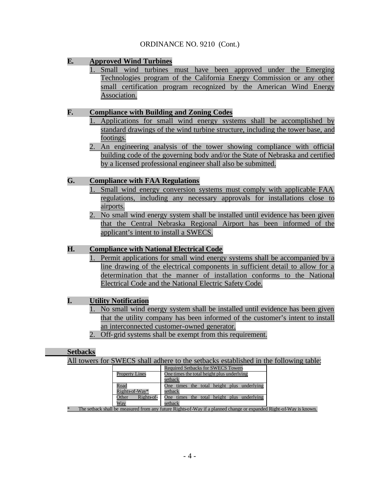#### **E. Approved Wind Turbines**

1. Small wind turbines must have been approved under the Emerging Technologies program of the California Energy Commission or any other small certification program recognized by the American Wind Energy Association.

#### **F. Compliance with Building and Zoning Codes**

- 1. Applications for small wind energy systems shall be accomplished by standard drawings of the wind turbine structure, including the tower base, and footings.
- 2. An engineering analysis of the tower showing compliance with official building code of the governing body and/or the State of Nebraska and certified by a licensed professional engineer shall also be submitted.

#### **G. Compliance with FAA Regulations**

- 1. Small wind energy conversion systems must comply with applicable FAA regulations, including any necessary approvals for installations close to airports.
- 2. No small wind energy system shall be installed until evidence has been given that the Central Nebraska Regional Airport has been informed of the applicant's intent to install a SWECS.

#### **H. Compliance with National Electrical Code**

1. Permit applications for small wind energy systems shall be accompanied by a line drawing of the electrical components in sufficient detail to allow for a determination that the manner of installation conforms to the National Electrical Code and the National Electric Safety Code.

#### **I. Utility Notification**

- 1. No small wind energy system shall be installed until evidence has been given that the utility company has been informed of the customer's intent to install an interconnected customer-owned generator.
- 2. Off-grid systems shall be exempt from this requirement.

#### **Setbacks**

All towers for SWECS shall adhere to the setbacks established in the following table:

|        |                       | <b>Required Setbacks for SWECS Towers</b>                                                                          |  |
|--------|-----------------------|--------------------------------------------------------------------------------------------------------------------|--|
|        | <b>Property Lines</b> | One times the total height plus underlying                                                                         |  |
|        |                       | setback                                                                                                            |  |
|        | Road                  | total height plus underlying<br>the<br>times<br>One)                                                               |  |
|        | Rights of -Way*       | setback                                                                                                            |  |
|        | Rights of-<br>Other   | total height plus underlying<br>the<br>times<br>One                                                                |  |
|        | Wav                   | setback                                                                                                            |  |
| $\ast$ |                       | The setback shall be measured from any future Rights-of-Way if a planned change or expanded Right-of-Way is known. |  |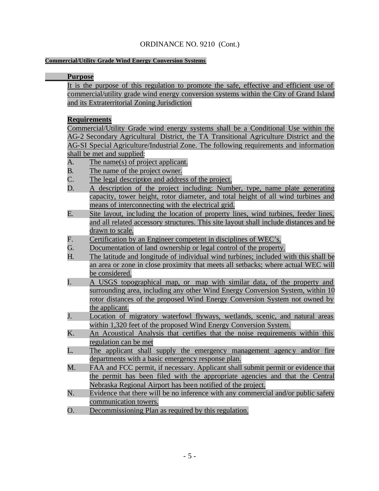#### **Commercial/Utility Grade Wind Energy Conversion Systems**

#### **Purpose**

It is the purpose of this regulation to promote the safe, effective and efficient use of commercial/utility grade wind energy conversion systems within the City of Grand Island and its Extraterritorial Zoning Jurisdiction

#### **Requirements**

Commercial/Utility Grade wind energy systems shall be a Conditional Use within the AG-2 Secondary Agricultural District, the TA Transitional Agriculture District and the AG-SI Special Agriculture/Industrial Zone. The following requirements and information shall be met and supplied:

- A. The name(s) of project applicant.
- B. The name of the project owner.
- C. The legal description and address of the project.
- D. A description of the project including: Number, type, name plate generating capacity, tower height, rotor diameter, and total height of all wind turbines and means of interconnecting with the electrical grid.
- E. Site layout, including the location of property lines, wind turbines, feeder lines, and all related accessory structures. This site layout shall include distances and be drawn to scale.
- F. Certification by an Engineer competent in disciplines of WEC's.
- G. Documentation of land ownership or legal control of the property.
- H. The latitude and longitude of individual wind turbines; included with this shall be an area or zone in close proximity that meets all setbacks; where actual WEC will be considered.
- I. A USGS topographical map, or map with similar data, of the property and surrounding area, including any other Wind Energy Conversion System, within 10 rotor distances of the proposed Wind Energy Conversion System not owned by the applicant.
- J. Location of migratory waterfowl flyways, wetlands, scenic, and natural areas within 1,320 feet of the proposed Wind Energy Conversion System.
- K. An Acoustical Analysis that certifies that the noise requirements within this regulation can be met
- L. The applicant shall supply the emergency management agency and/or fire departments with a basic emergency response plan.
- M. FAA and FCC permit, if necessary. Applicant shall submit permit or evidence that the permit has been filed with the appropriate agencies and that the Central Nebraska Regional Airport has been notified of the project.
- N. Evidence that there will be no inference with any commercial and/or public safety communication towers.
- O. Decommissioning Plan as required by this regulation.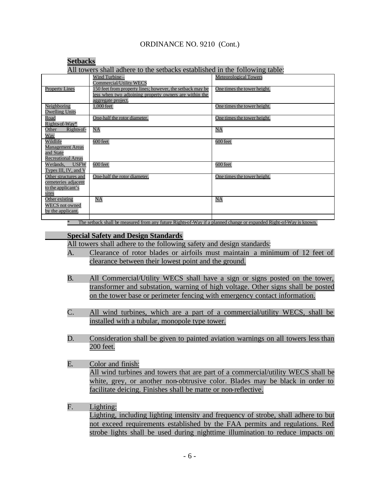#### **Setbacks**

All towers shall adhere to the setbacks established in the following table:

|                                      | THE LOW OLD BHAIL AGHOLO TO THE BOTOACHD CBTAOHBHCG HE THE TOHOW HILE TADIU. |                              |
|--------------------------------------|------------------------------------------------------------------------------|------------------------------|
|                                      | Wind Turbine-<br>Commercial/Utility WECS                                     | <b>Meteorological Towers</b> |
| <b>Property Lines</b>                | 150 feet from property lines; however, the setback may be                    | One times the tower height.  |
|                                      | less when two adjoining property owners are within the                       |                              |
|                                      | aggregate project.                                                           |                              |
| Neighboring<br><b>Dwelling Units</b> | 1,000 feet                                                                   | One times the tower height.  |
| Road                                 | One-half the rotor diameter.                                                 | One times the tower height.  |
| Rights of-Way*                       |                                                                              |                              |
| Rights of-<br>Other                  | NA                                                                           | NA                           |
| Way                                  |                                                                              |                              |
| Wildlife                             | 600 feet                                                                     | 600 feet                     |
| <b>Management Areas</b>              |                                                                              |                              |
| and State                            |                                                                              |                              |
| <b>Recreational Areas</b>            |                                                                              |                              |
| <b>USFW</b><br>Wetlands,             | 600 feet                                                                     | 600 feet                     |
| Types III, IV, and V                 |                                                                              |                              |
| Other structures and                 | One-half the rotor diameter.                                                 | One times the tower height.  |
| cemeteries adjacent                  |                                                                              |                              |
| to the applicant's                   |                                                                              |                              |
| sites                                |                                                                              |                              |
| Other existing                       | $\overline{\text{NA}}$                                                       | <u>NA</u>                    |
| WECS not owned                       |                                                                              |                              |
| by the applicant.                    |                                                                              |                              |
|                                      |                                                                              |                              |

\* The setback shall be measured from any future Rights-of-Way if a planned change or expanded Right-of-Way is known.

#### **Special Safety and Design Standards**

All towers shall adhere to the following safety and design standards:

- A. Clearance of rotor blades or airfoils must maintain a minimum of 12 feet of clearance between their lowest point and the ground.
- B. All Commercial/Utility WECS shall have a sign or signs posted on the tower, transformer and substation, warning of high voltage. Other signs shall be posted on the tower base or perimeter fencing with emergency contact information.
- C. All wind turbines, which are a part of a commercial/utility WECS, shall be installed with a tubular, monopole type tower.
- D. Consideration shall be given to painted aviation warnings on all towers less than 200 feet.
- E. Color and finish: All wind turbines and towers that are part of a commercial/utility WECS shall be white, grey, or another non-obtrusive color. Blades may be black in order to facilitate deicing. Finishes shall be matte or non-reflective.
- F. Lighting:

Lighting, including lighting intensity and frequency of strobe, shall adhere to but not exceed requirements established by the FAA permits and regulations. Red strobe lights shall be used during nighttime illumination to reduce impacts on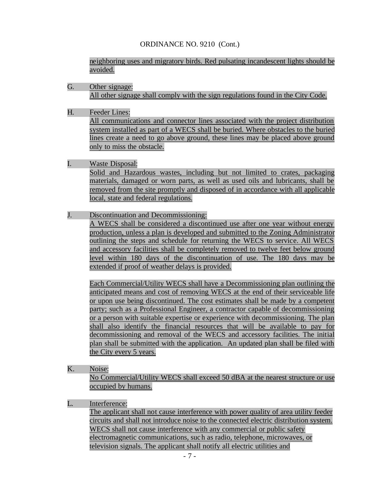neighboring uses and migratory birds. Red pulsating incandescent lights should be avoided.

- G. Other signage: All other signage shall comply with the sign regulations found in the City Code.
- H. Feeder Lines: All communications and connector lines associated with the project distribution system installed as part of a WECS shall be buried. Where obstacles to the buried lines create a need to go above ground, these lines may be placed above ground only to miss the obstacle.
- I. Waste Disposal: Solid and Hazardous wastes, including but not limited to crates, packaging materials, damaged or worn parts, as well as used oils and lubricants, shall be removed from the site promptly and disposed of in accordance with all applicable local, state and federal regulations.
- J. Discontinuation and Decommissioning: A WECS shall be considered a discontinued use after one year without energy production, unless a plan is developed and submitted to the Zoning Administrator outlining the steps and schedule for returning the WECS to service. All WECS and accessory facilities shall be completely removed to twelve feet below ground level within 180 days of the discontinuation of use. The 180 days may be extended if proof of weather delays is provided.

Each Commercial/Utility WECS shall have a Decommissioning plan outlining the anticipated means and cost of removing WECS at the end of their serviceable life or upon use being discontinued. The cost estimates shall be made by a competent party; such as a Professional Engineer, a contractor capable of decommissioning or a person with suitable expertise or experience with decommissioning. The plan shall also identify the financial resources that will be available to pay for decommissioning and removal of the WECS and accessory facilities. The initial plan shall be submitted with the application. An updated plan shall be filed with the City every 5 years.

K. Noise: No Commercial/Utility WECS shall exceed 50 dBA at the nearest structure or use occupied by humans.

#### L. Interference:

The applicant shall not cause interference with power quality of area utility feeder circuits and shall not introduce noise to the connected electric distribution system. WECS shall not cause interference with any commercial or public safety electromagnetic communications, such as radio, telephone, microwaves, or television signals. The applicant shall notify all electric utilities and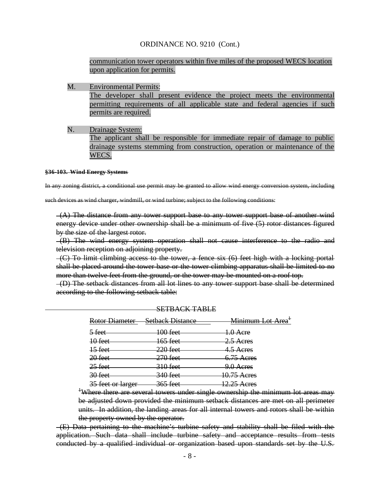#### communication tower operators within five miles of the proposed WECS location upon application for permits.

#### M. Environmental Permits: The developer shall present evidence the project meets the environmental permitting requirements of all applicable state and federal agencies if such permits are required.

N. Drainage System: The applicant shall be responsible for immediate repair of damage to public drainage systems stemming from construction, operation or maintenance of the WECS.

#### **§36-103. Wind Energy Systems**

In any zoning district, a conditional use permit may be granted to allow wind energy conversion system, including

such devices as wind charger, windmill, or wind turbine; subject to the following conditions:

 $-(A)$  The distance from any tower support base to any tower support base of another wind energy device under other ownership shall be a minimum of five  $(5)$  rotor distances figured by the size of the largest rotor.

 (B) The wind energy system operation shall not cause interference to the radio and television reception on adjoining property.

 (C) To limit climbing access to the tower, a fence six (6) feet high with a locking portal shall be placed around the tower base or the tower climbing apparatus shall be limited to no more than twelve feet from the ground, or the tower may be mounted on a roof top.

 (D) The setback distances from all lot lines to any tower support base shall be determined according to the following setback table:

| Rotor Diameter    | Setback Distance    | Minimum Lot          |
|-------------------|---------------------|----------------------|
| 5 feet            | <del>100 feet</del> | <del>.0 Acre</del>   |
| 10 feet           | <del>165 feet</del> | <del>2.5 Acres</del> |
| 15 feet           | $220$ feet          | 4.5 Acres            |
| 20 feet           | $270$ feet          | 6.75 Acres           |
| $25$ feet         | <del>310 feet</del> | 9.0 Acres            |
| 30 feet           | 340 feet            | 10.75 Acres          |
| 35 feet or larger | <del>365 feet</del> | <b>25 Acres</b>      |

#### SETBACK TABLE

<sup>1</sup>Where there are several towers under single ownership the minimum lot areas may be adjusted down provided the minimum setback distances are met on all perimeter units. In addition, the landing areas for all internal towers and rotors shall be within the property owned by the operator.

 (E) Data pertaining to the machine's turbine safety and stability shall be filed with the application. Such data shall include turbine safety and acceptance results from tests conducted by a qualified individual or organization based upon standards set by the U.S.